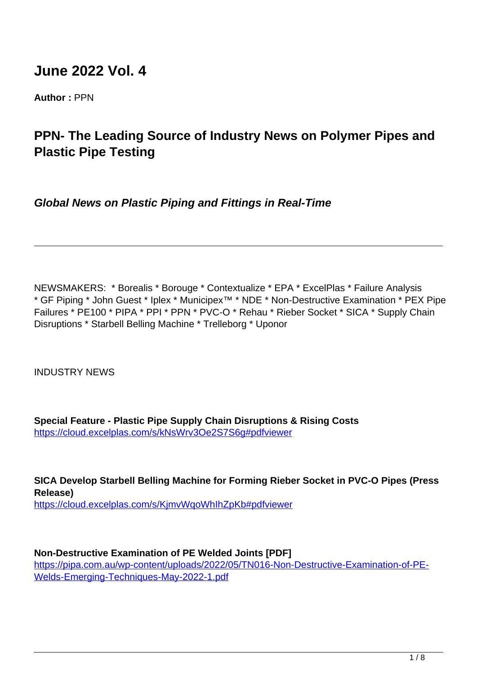# **June 2022 Vol. 4**

**Author :** PPN

## **PPN- The Leading Source of Industry News on Polymer Pipes and Plastic Pipe Testing**

**Global News on Plastic Piping and Fittings in Real-Time**

NEWSMAKERS: \* Borealis \* Borouge \* Contextualize \* EPA \* ExcelPlas \* Failure Analysis \* GF Piping \* John Guest \* Iplex \* Municipex™ \* NDE \* Non-Destructive Examination \* PEX Pipe Failures \* PE100 \* PIPA \* PPI \* PPN \* PVC-O \* Rehau \* Rieber Socket \* SICA \* Supply Chain Disruptions \* Starbell Belling Machine \* Trelleborg \* Uponor

INDUSTRY NEWS

**Special Feature - Plastic Pipe Supply Chain Disruptions & Rising Costs** <https://cloud.excelplas.com/s/kNsWrv3Oe2S7S6g#pdfviewer>

**SICA Develop Starbell Belling Machine for Forming Rieber Socket in PVC-O Pipes (Press Release)** https://cloud.excelplas.com/s/KjmvWqoWhIhZpKb#pdfviewer

## **Non-Destructive Examination of PE Welded Joints [PDF]**

https://pipa.com.au/wp-content/uploads/2022/05/TN016-Non-Destructive-Examination-of-PE-Welds-Emerging-Techniques-May-2022-1.pdf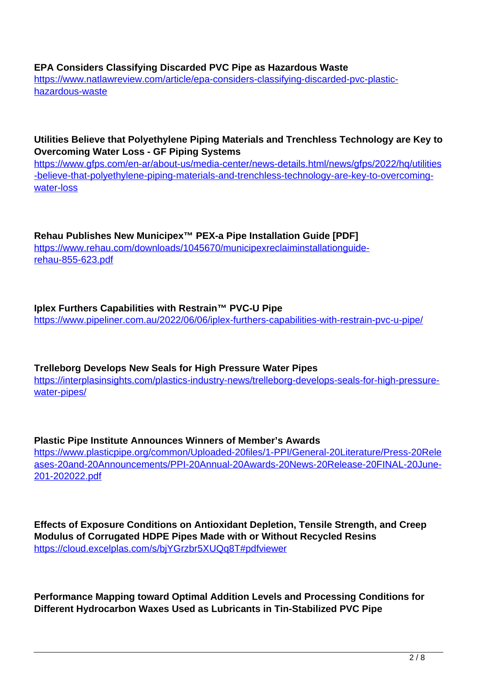#### **EPA Considers Classifying Discarded PVC Pipe as Hazardous Waste**

https://www.natlawreview.com/article/epa-considers-classifying-discarded-pvc-plastichazardous-waste

#### **Utilities Believe that Polyethylene Piping Materials and Trenchless Technology are Key to Overcoming Water Loss - GF Piping Systems**

https://www.gfps.com/en-ar/about-us/media-center/news-details.html/news/gfps/2022/hq/utilities -believe-that-polyethylene-piping-materials-and-trenchless-technology-are-key-to-overcomingwater-loss

**Rehau Publishes New Municipex™ PEX-a Pipe Installation Guide [PDF]** https://www.rehau.com/downloads/1045670/municipexreclaiminstallationquiderehau-855-623.pdf

## **Iplex Furthers Capabilities with Restrain™ PVC-U Pipe** https://www.pipeliner.com.au/2022/06/06/iplex-furthers-capabilities-with-restrain-pvc-u-pipe/

## **Trelleborg Develops New Seals for High Pressure Water Pipes**

https://interplasinsights.com/plastics-industry-news/trelleborg-develops-seals-for-high-pressurewater-pipes/

**Plastic Pipe Institute Announces Winners of Member's Awards** https://www.plasticpipe.org/common/Uploaded-20files/1-PPI/General-20Literature/Press-20Rele ases-20and-20Announcements/PPI-20Annual-20Awards-20News-20Release-20FINAL-20June-201-202022.pdf

**Effects of Exposure Conditions on Antioxidant Depletion, Tensile Strength, and Creep Modulus of Corrugated HDPE Pipes Made with or Without Recycled Resins** https://cloud.excelplas.com/s/bjYGrzbr5XUQq8T#pdfviewer

**Performance Mapping toward Optimal Addition Levels and Processing Conditions for Different Hydrocarbon Waxes Used as Lubricants in Tin-Stabilized PVC Pipe**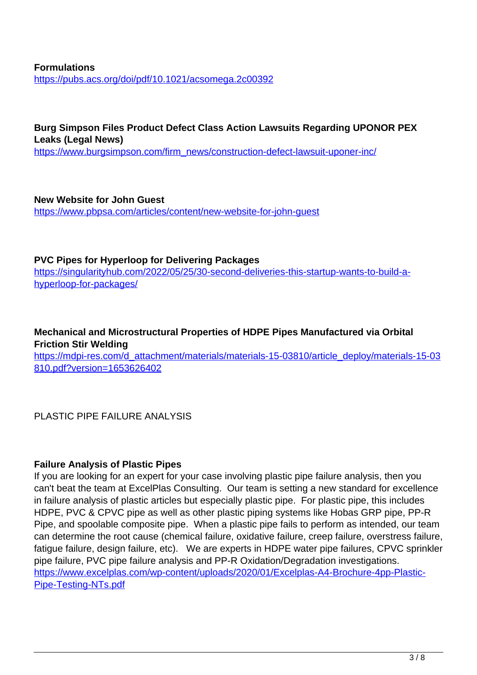#### **Formulations** https://pubs.acs.org/doi/pdf/10.1021/acsomega.2c00392

**Burg Simpson Files Product Defect Class Action Lawsuits Regarding UPONOR PEX Leaks (Legal News)** https://www.burgsimpson.com/firm\_news/construction-defect-lawsuit-uponer-inc/

**New Website for John Guest** https://www.pbpsa.com/articles/content/new-website-for-john-guest

## **PVC Pipes for Hyperloop for Delivering Packages**

https://singularityhub.com/2022/05/25/30-second-deliveries-this-startup-wants-to-build-ahyperloop-for-packages/

## **Mechanical and Microstructural Properties of HDPE Pipes Manufactured via Orbital Friction Stir Welding**

https://mdpi-res.com/d\_attachment/materials/materials-15-03810/article\_deploy/materials-15-03 810.pdf?version=1653626402

PLASTIC PIPE FAILURE ANALYSIS

## **Failure Analysis of Plastic Pipes**

If you are looking for an expert for your case involving plastic pipe failure analysis, then you can't beat the team at ExcelPlas Consulting. Our team is setting a new standard for excellence in failure analysis of plastic articles but especially plastic pipe. For plastic pipe, this includes HDPE, PVC & CPVC pipe as well as other plastic piping systems like Hobas GRP pipe, PP-R Pipe, and spoolable composite pipe. When a plastic pipe fails to perform as intended, our team can determine the root cause (chemical failure, oxidative failure, creep failure, overstress failure, fatigue failure, design failure, etc). We are experts in HDPE water pipe failures, CPVC sprinkler pipe failure, PVC pipe failure analysis and PP-R Oxidation/Degradation investigations. https://www.excelplas.com/wp-content/uploads/2020/01/Excelplas-A4-Brochure-4pp-Plastic-Pipe-Testing-NTs.pdf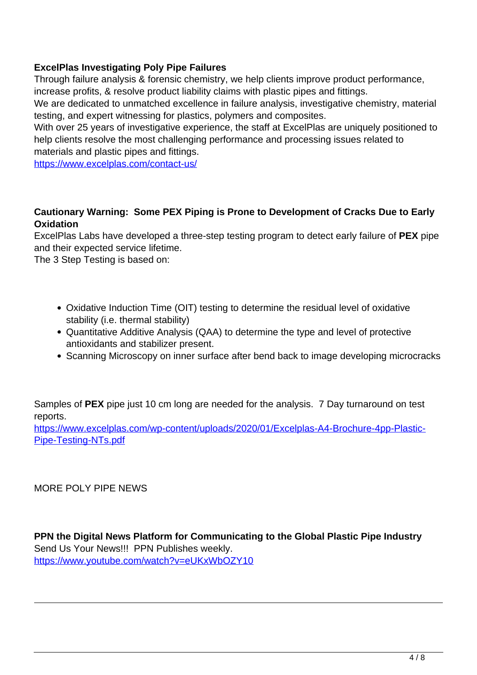## **ExcelPlas Investigating Poly Pipe Failures**

Through failure analysis & forensic chemistry, we help clients improve product performance, increase profits, & resolve product liability claims with plastic pipes and fittings.

We are dedicated to unmatched excellence in failure analysis, investigative chemistry, material testing, and expert witnessing for plastics, polymers and composites.

With over 25 years of investigative experience, the staff at ExcelPlas are uniquely positioned to help clients resolve the most challenging performance and processing issues related to materials and plastic pipes and fittings.

https://www.excelplas.com/contact-us/

## **Cautionary Warning: Some PEX Piping is Prone to Development of Cracks Due to Early Oxidation**

ExcelPlas Labs have developed a three-step testing program to detect early failure of **PEX** pipe and their expected service lifetime.

The 3 Step Testing is based on:

- Oxidative Induction Time (OIT) testing to determine the residual level of oxidative stability (i.e. thermal stability)
- Quantitative Additive Analysis (QAA) to determine the type and level of protective antioxidants and stabilizer present.
- Scanning Microscopy on inner surface after bend back to image developing microcracks

Samples of **PEX** pipe just 10 cm long are needed for the analysis. 7 Day turnaround on test reports.

https://www.excelplas.com/wp-content/uploads/2020/01/Excelplas-A4-Brochure-4pp-Plastic-Pipe-Testing-NTs.pdf

MORE POLY PIPE NEWS

**PPN the Digital News Platform for Communicating to the Global Plastic Pipe Industry** Send Us Your News!!! PPN Publishes weekly. https://www.youtube.com/watch?v=eUKxWbOZY10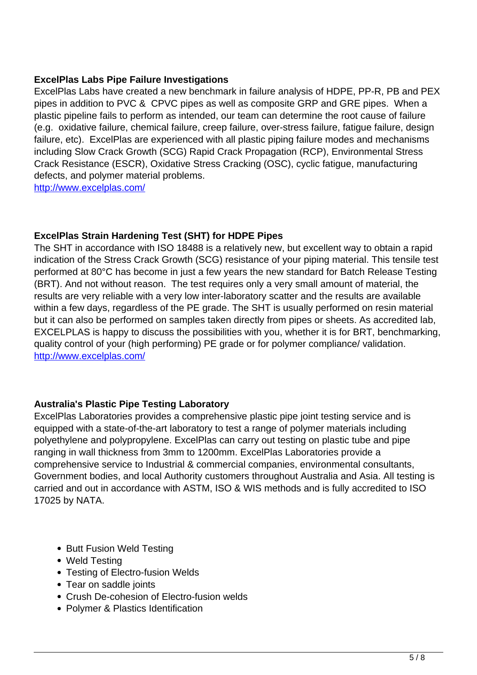## **ExcelPlas Labs Pipe Failure Investigations**

ExcelPlas Labs have created a new benchmark in failure analysis of HDPE, PP-R, PB and PEX pipes in addition to PVC & CPVC pipes as well as composite GRP and GRE pipes. When a plastic pipeline fails to perform as intended, our team can determine the root cause of failure (e.g. oxidative failure, chemical failure, creep failure, over-stress failure, fatigue failure, design failure, etc). ExcelPlas are experienced with all plastic piping failure modes and mechanisms including Slow Crack Growth (SCG) Rapid Crack Propagation (RCP), Environmental Stress Crack Resistance (ESCR), Oxidative Stress Cracking (OSC), cyclic fatigue, manufacturing defects, and polymer material problems.

http://www.excelplas.com/

## **ExcelPlas Strain Hardening Test (SHT) for HDPE Pipes**

The SHT in accordance with ISO 18488 is a relatively new, but excellent way to obtain a rapid indication of the Stress Crack Growth (SCG) resistance of your piping material. This tensile test performed at 80°C has become in just a few years the new standard for Batch Release Testing (BRT). And not without reason. The test requires only a very small amount of material, the results are very reliable with a very low inter-laboratory scatter and the results are available within a few days, regardless of the PE grade. The SHT is usually performed on resin material but it can also be performed on samples taken directly from pipes or sheets. As accredited lab, EXCELPLAS is happy to discuss the possibilities with you, whether it is for BRT, benchmarking, quality control of your (high performing) PE grade or for polymer compliance/ validation. http://www.excelplas.com/

## **Australia's Plastic Pipe Testing Laboratory**

ExcelPlas Laboratories provides a comprehensive plastic pipe joint testing service and is equipped with a state-of-the-art laboratory to test a range of polymer materials including polyethylene and polypropylene. ExcelPlas can carry out testing on plastic tube and pipe ranging in wall thickness from 3mm to 1200mm. ExcelPlas Laboratories provide a comprehensive service to Industrial & commercial companies, environmental consultants, Government bodies, and local Authority customers throughout Australia and Asia. All testing is carried and out in accordance with ASTM, ISO & WIS methods and is fully accredited to ISO 17025 by NATA.

- Butt Fusion Weld Testing
- Weld Testing
- Testing of Electro-fusion Welds
- Tear on saddle joints
- Crush De-cohesion of Electro-fusion welds
- Polymer & Plastics Identification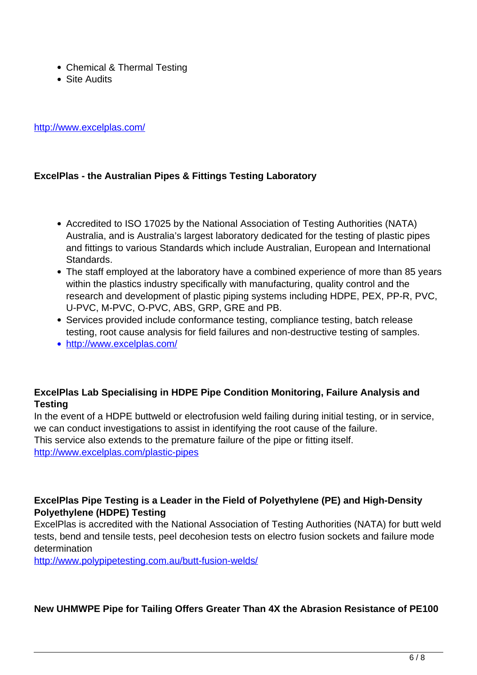- Chemical & Thermal Testing
- Site Audits

http://www.excelplas.com/

## **ExcelPlas - the Australian Pipes & Fittings Testing Laboratory**

- Accredited to ISO 17025 by the National Association of Testing Authorities (NATA) Australia, and is Australia's largest laboratory dedicated for the testing of plastic pipes and fittings to various Standards which include Australian, European and International Standards.
- The staff employed at the laboratory have a combined experience of more than 85 years within the plastics industry specifically with manufacturing, quality control and the research and development of plastic piping systems including HDPE, PEX, PP-R, PVC, U-PVC, M-PVC, O-PVC, ABS, GRP, GRE and PB.
- Services provided include conformance testing, compliance testing, batch release testing, root cause analysis for field failures and non-destructive testing of samples.
- http://www.excelplas.com/

## **ExcelPlas Lab Specialising in HDPE Pipe Condition Monitoring, Failure Analysis and Testing**

In the event of a HDPE buttweld or electrofusion weld failing during initial testing, or in service, we can conduct investigations to assist in identifying the root cause of the failure. This service also extends to the premature failure of the pipe or fitting itself. http://www.excelplas.com/plastic-pipes

## **ExcelPlas Pipe Testing is a Leader in the Field of Polyethylene (PE) and High-Density Polyethylene (HDPE) Testing**

ExcelPlas is accredited with the National Association of Testing Authorities (NATA) for butt weld tests, bend and tensile tests, peel decohesion tests on electro fusion sockets and failure mode determination

http://www.polypipetesting.com.au/butt-fusion-welds/

## **New UHMWPE Pipe for Tailing Offers Greater Than 4X the Abrasion Resistance of PE100**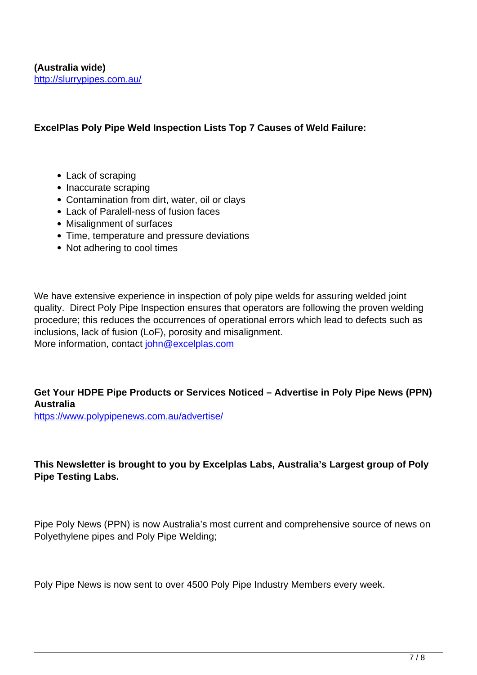#### **ExcelPlas Poly Pipe Weld Inspection Lists Top 7 Causes of Weld Failure:**

- Lack of scraping
- Inaccurate scraping
- Contamination from dirt, water, oil or clays
- Lack of Paralell-ness of fusion faces
- Misalignment of surfaces
- Time, temperature and pressure deviations
- Not adhering to cool times

We have extensive experience in inspection of poly pipe welds for assuring welded joint quality. Direct Poly Pipe Inspection ensures that operators are following the proven welding procedure; this reduces the occurrences of operational errors which lead to defects such as inclusions, lack of fusion (LoF), porosity and misalignment. More information, contact john@excelplas.com

## **Get Your HDPE Pipe Products or Services Noticed – Advertise in Poly Pipe News (PPN) Australia**

https://www.polypipenews.com.au/advertise/

## **This Newsletter is brought to you by Excelplas Labs, Australia's Largest group of Poly Pipe Testing Labs.**

Pipe Poly News (PPN) is now Australia's most current and comprehensive source of news on Polyethylene pipes and Poly Pipe Welding;

Poly Pipe News is now sent to over 4500 Poly Pipe Industry Members every week.